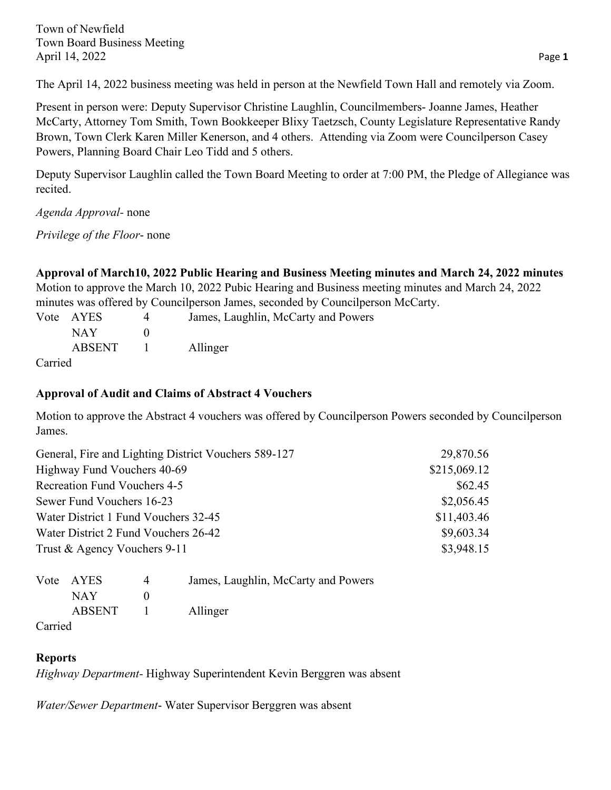Town of Newfield Town Board Business Meeting April 14, 2022 **Page 1** 

The April 14, 2022 business meeting was held in person at the Newfield Town Hall and remotely via Zoom.

Present in person were: Deputy Supervisor Christine Laughlin, Councilmembers- Joanne James, Heather McCarty, Attorney Tom Smith, Town Bookkeeper Blixy Taetzsch, County Legislature Representative Randy Brown, Town Clerk Karen Miller Kenerson, and 4 others. Attending via Zoom were Councilperson Casey Powers, Planning Board Chair Leo Tidd and 5 others.

Deputy Supervisor Laughlin called the Town Board Meeting to order at 7:00 PM, the Pledge of Allegiance was recited.

*Agenda Approval-* none

*Privilege of the Floor*- none

**Approval of March10, 2022 Public Hearing and Business Meeting minutes and March 24, 2022 minutes** Motion to approve the March 10, 2022 Pubic Hearing and Business meeting minutes and March 24, 2022 minutes was offered by Councilperson James, seconded by Councilperson McCarty.

|        | Vote AYES        | James, Laughlin, McCarty and Powers |
|--------|------------------|-------------------------------------|
|        | NAY <sub>1</sub> |                                     |
|        | ABSENT           | Allinger                            |
| $\sim$ |                  |                                     |

Carried

## **Approval of Audit and Claims of Abstract 4 Vouchers**

Motion to approve the Abstract 4 vouchers was offered by Councilperson Powers seconded by Councilperson James.

| General, Fire and Lighting District Vouchers 589-127 | 29,870.56    |
|------------------------------------------------------|--------------|
| Highway Fund Vouchers 40-69                          | \$215,069.12 |
| <b>Recreation Fund Vouchers 4-5</b>                  | \$62.45      |
| Sewer Fund Vouchers 16-23                            | \$2,056.45   |
| Water District 1 Fund Vouchers 32-45                 | \$11,403.46  |
| Water District 2 Fund Vouchers 26-42                 | \$9,603.34   |
| Trust & Agency Vouchers 9-11                         | \$3,948.15   |

|                   | Vote AYES | James, Laughlin, McCarty and Powers |
|-------------------|-----------|-------------------------------------|
|                   | NAY.      |                                     |
|                   | ABSENT    | Allinger                            |
| $C2$ and $\sim$ 1 |           |                                     |

Carried

## **Reports**

*Highway Department-* Highway Superintendent Kevin Berggren was absent

*Water/Sewer Department*- Water Supervisor Berggren was absent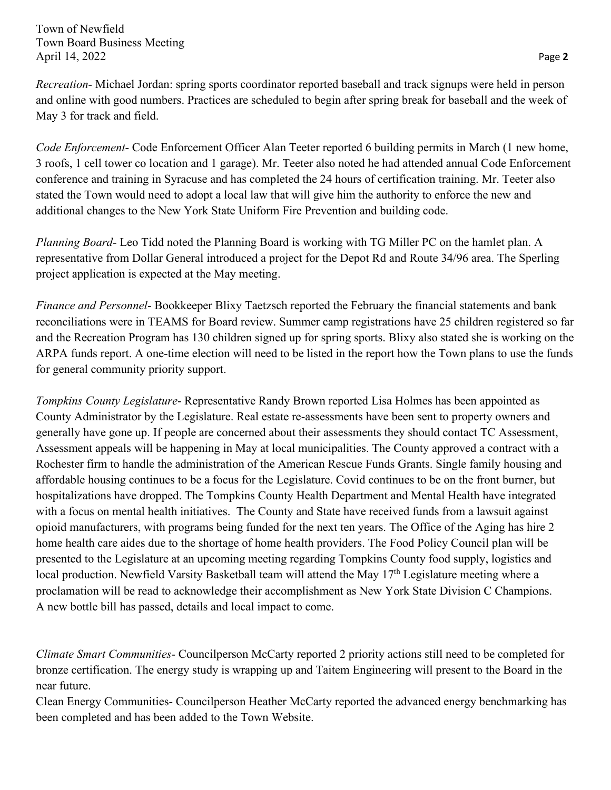*Recreation-* Michael Jordan: spring sports coordinator reported baseball and track signups were held in person and online with good numbers. Practices are scheduled to begin after spring break for baseball and the week of May 3 for track and field.

*Code Enforcement*- Code Enforcement Officer Alan Teeter reported 6 building permits in March (1 new home, 3 roofs, 1 cell tower co location and 1 garage). Mr. Teeter also noted he had attended annual Code Enforcement conference and training in Syracuse and has completed the 24 hours of certification training. Mr. Teeter also stated the Town would need to adopt a local law that will give him the authority to enforce the new and additional changes to the New York State Uniform Fire Prevention and building code.

*Planning Board*- Leo Tidd noted the Planning Board is working with TG Miller PC on the hamlet plan. A representative from Dollar General introduced a project for the Depot Rd and Route 34/96 area. The Sperling project application is expected at the May meeting.

*Finance and Personnel*- Bookkeeper Blixy Taetzsch reported the February the financial statements and bank reconciliations were in TEAMS for Board review. Summer camp registrations have 25 children registered so far and the Recreation Program has 130 children signed up for spring sports. Blixy also stated she is working on the ARPA funds report. A one-time election will need to be listed in the report how the Town plans to use the funds for general community priority support.

*Tompkins County Legislature*- Representative Randy Brown reported Lisa Holmes has been appointed as County Administrator by the Legislature. Real estate re-assessments have been sent to property owners and generally have gone up. If people are concerned about their assessments they should contact TC Assessment, Assessment appeals will be happening in May at local municipalities. The County approved a contract with a Rochester firm to handle the administration of the American Rescue Funds Grants. Single family housing and affordable housing continues to be a focus for the Legislature. Covid continues to be on the front burner, but hospitalizations have dropped. The Tompkins County Health Department and Mental Health have integrated with a focus on mental health initiatives. The County and State have received funds from a lawsuit against opioid manufacturers, with programs being funded for the next ten years. The Office of the Aging has hire 2 home health care aides due to the shortage of home health providers. The Food Policy Council plan will be presented to the Legislature at an upcoming meeting regarding Tompkins County food supply, logistics and local production. Newfield Varsity Basketball team will attend the May 17<sup>th</sup> Legislature meeting where a proclamation will be read to acknowledge their accomplishment as New York State Division C Champions. A new bottle bill has passed, details and local impact to come.

*Climate Smart Communities*- Councilperson McCarty reported 2 priority actions still need to be completed for bronze certification. The energy study is wrapping up and Taitem Engineering will present to the Board in the near future.

Clean Energy Communities- Councilperson Heather McCarty reported the advanced energy benchmarking has been completed and has been added to the Town Website.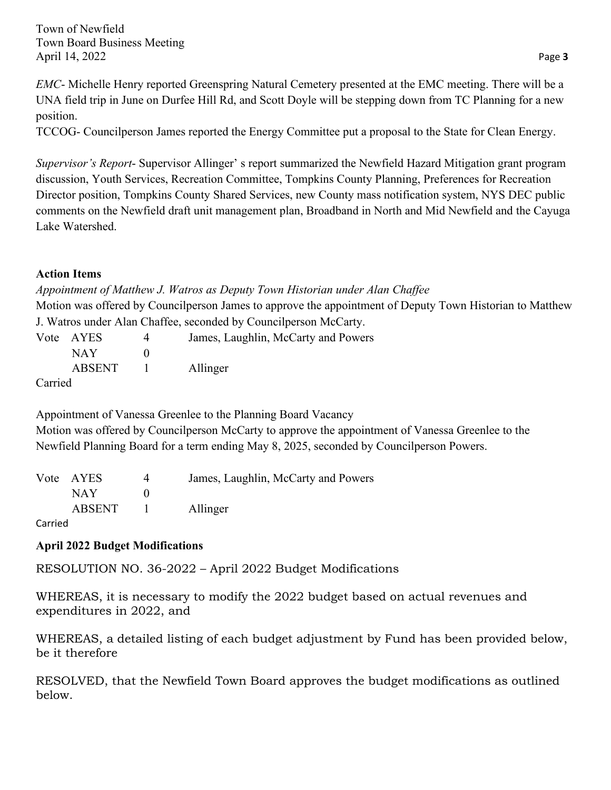Town of Newfield Town Board Business Meeting April 14, 2022 **Page 3** 

*EMC*- Michelle Henry reported Greenspring Natural Cemetery presented at the EMC meeting. There will be a UNA field trip in June on Durfee Hill Rd, and Scott Doyle will be stepping down from TC Planning for a new position.

TCCOG- Councilperson James reported the Energy Committee put a proposal to the State for Clean Energy.

*Supervisor's Report*- Supervisor Allinger' s report summarized the Newfield Hazard Mitigation grant program discussion, Youth Services, Recreation Committee, Tompkins County Planning, Preferences for Recreation Director position, Tompkins County Shared Services, new County mass notification system, NYS DEC public comments on the Newfield draft unit management plan, Broadband in North and Mid Newfield and the Cayuga Lake Watershed.

## **Action Items**

*Appointment of Matthew J. Watros as Deputy Town Historian under Alan Chaffee* Motion was offered by Councilperson James to approve the appointment of Deputy Town Historian to Matthew J. Watros under Alan Chaffee, seconded by Councilperson McCarty.

|         | Vote AYES | James, Laughlin, McCarty and Powers |
|---------|-----------|-------------------------------------|
|         | NAY.      |                                     |
|         | ABSENT    | Allinger                            |
| Carried |           |                                     |

Carried

Appointment of Vanessa Greenlee to the Planning Board Vacancy

Motion was offered by Councilperson McCarty to approve the appointment of Vanessa Greenlee to the Newfield Planning Board for a term ending May 8, 2025, seconded by Councilperson Powers.

|         | Vote AYES | James, Laughlin, McCarty and Powers |
|---------|-----------|-------------------------------------|
|         | NAY 1     |                                     |
|         | ABSENT    | Allinger                            |
| $C = 1$ |           |                                     |

Carried

## **April 2022 Budget Modifications**

RESOLUTION NO. 36-2022 – April 2022 Budget Modifications

WHEREAS, it is necessary to modify the 2022 budget based on actual revenues and expenditures in 2022, and

WHEREAS, a detailed listing of each budget adjustment by Fund has been provided below, be it therefore

RESOLVED, that the Newfield Town Board approves the budget modifications as outlined below.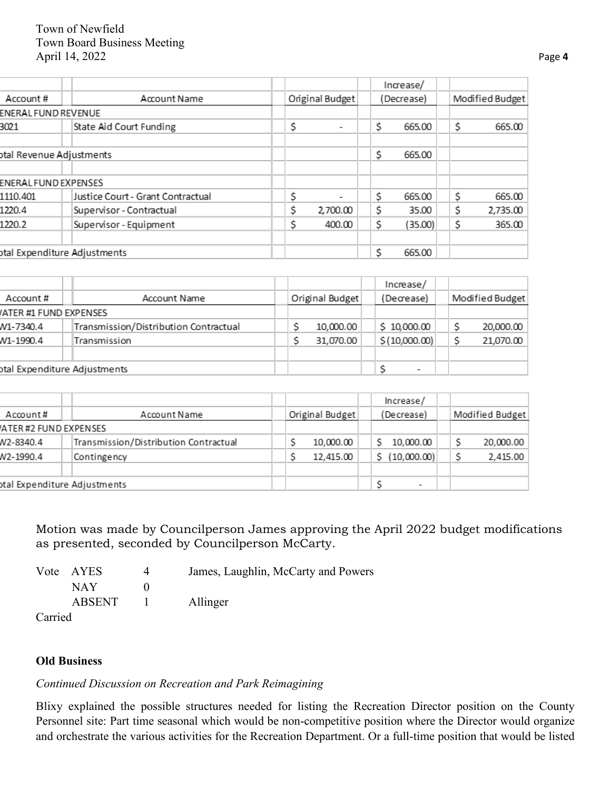| Original Budget |    |         |                         | Modified Budget |
|-----------------|----|---------|-------------------------|-----------------|
|                 |    |         |                         |                 |
| \$              | \$ | 665.00  | \$                      | 665.00          |
|                 |    |         |                         |                 |
|                 | \$ | 665.00  |                         |                 |
|                 |    |         |                         |                 |
|                 |    |         |                         |                 |
| ς               | Ś. | 665.00  | \$                      | 665.00          |
| 2,700.00        | Ś. | 35.00   | \$                      | 2,735.00        |
| 400.00<br>Ś     | \$ | (35.00) | \$                      | 365.00          |
|                 |    |         |                         |                 |
|                 | \$ | 665.00  |                         |                 |
|                 |    |         | Increase/<br>(Decrease) |                 |

|                              |  |                                       |  |                 | Increase/     |  |                 |
|------------------------------|--|---------------------------------------|--|-----------------|---------------|--|-----------------|
| Account #                    |  | Account Name                          |  | Original Budget | (Decrease)    |  | Modified Budget |
| ATER #1 FUND EXPENSES        |  |                                       |  |                 |               |  |                 |
| W1-7340.4                    |  | Transmission/Distribution Contractual |  | 10,000.00       | \$10,000.00   |  | 20,000.00       |
| W1-1990.4                    |  | Transmission                          |  | 31,070.00       | \$(10,000.00) |  | 21,070.00       |
|                              |  |                                       |  |                 |               |  |                 |
| otal Expenditure Adjustments |  |                                       |  |                 |               |  |                 |

|                              |                                       |  |                 | Increase/                |  |                 |
|------------------------------|---------------------------------------|--|-----------------|--------------------------|--|-----------------|
| Account#                     | Account Name                          |  | Original Budget | (Decrease)               |  | Modified Budget |
| ATER #2 FUND EXPENSES        |                                       |  |                 |                          |  |                 |
| W2-8340.4                    | Transmission/Distribution Contractual |  | 10,000.00       | 10,000.00                |  | 20,000.00       |
| W2-1990.4                    | Contingency                           |  | 12,415.00       | \$(10,000.00)            |  | 2,415.00        |
|                              |                                       |  |                 |                          |  |                 |
| otal Expenditure Adjustments |                                       |  |                 | $\overline{\phantom{a}}$ |  |                 |

Motion was made by Councilperson James approving the April 2022 budget modifications as presented, seconded by Councilperson McCarty.

|          | Vote AYES | James, Laughlin, McCarty and Powers |
|----------|-----------|-------------------------------------|
|          | NAY.      |                                     |
|          | ABSENT    | Allinger                            |
| $\sim$ . |           |                                     |

Carried

## **Old Business**

# *Continued Discussion on Recreation and Park Reimagining*

Blixy explained the possible structures needed for listing the Recreation Director position on the County Personnel site: Part time seasonal which would be non-competitive position where the Director would organize and orchestrate the various activities for the Recreation Department. Or a full-time position that would be listed